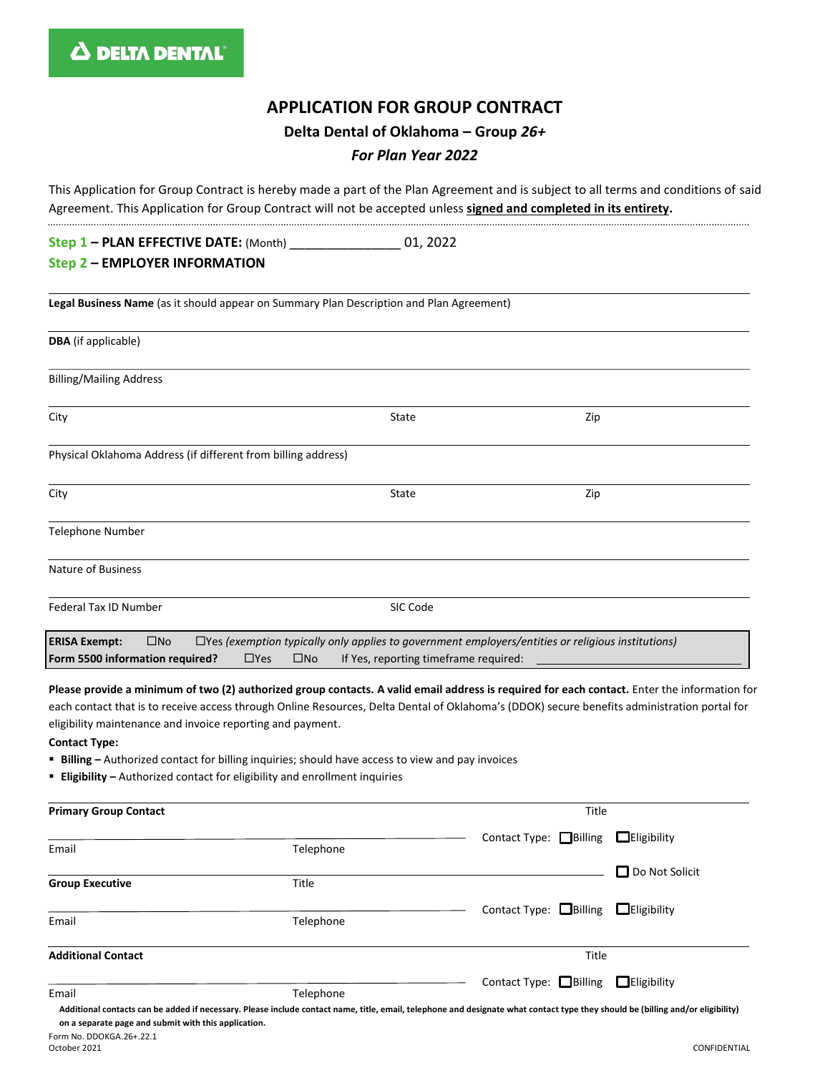# **APPLICATION FOR GROUP CONTRACT**

**Delta Dental of Oklahoma – Group** *26+*

#### *For Plan Year 2022*

This Application for Group Contract is hereby made a part of the Plan Agreement and is subject to all terms and conditions of said Agreement. This Application for Group Contract will not be accepted unless **signed and completed in its entirety.**

**Step 1 – PLAN EFFECTIVE DATE:** (Month) \_\_\_\_\_\_\_\_\_\_\_\_\_\_\_ 01, 2022

#### **Step 2 – EMPLOYER INFORMATION**

**Legal Business Name** (as it should appear on Summary Plan Description and Plan Agreement)

| <b>DBA</b> (if applicable)                                                                                                                                                                                                                                 |          |     |  |  |  |
|------------------------------------------------------------------------------------------------------------------------------------------------------------------------------------------------------------------------------------------------------------|----------|-----|--|--|--|
| <b>Billing/Mailing Address</b>                                                                                                                                                                                                                             |          |     |  |  |  |
| City                                                                                                                                                                                                                                                       | State    | Zip |  |  |  |
| Physical Oklahoma Address (if different from billing address)                                                                                                                                                                                              |          |     |  |  |  |
| City                                                                                                                                                                                                                                                       | State    | Zip |  |  |  |
| Telephone Number                                                                                                                                                                                                                                           |          |     |  |  |  |
| Nature of Business                                                                                                                                                                                                                                         |          |     |  |  |  |
| Federal Tax ID Number                                                                                                                                                                                                                                      | SIC Code |     |  |  |  |
| $\Box$ Yes (exemption typically only applies to government employers/entities or religious institutions)<br>$\square$ No<br><b>ERISA Exempt:</b><br>Form 5500 information required?<br>$\Box$ Yes<br>$\square$ No<br>If Yes, reporting timeframe required: |          |     |  |  |  |

**Please provide a minimum of two (2) authorized group contacts. A valid email address is required for each contact.** Enter the information for each contact that is to receive access through Online Resources, Delta Dental of Oklahoma's (DDOK) secure benefits administration portal for eligibility maintenance and invoice reporting and payment.

**Contact Type:**

- **Billing –** Authorized contact for billing inquiries; should have access to view and pay invoices
- **Eligibility –** Authorized contact for eligibility and enrollment inquiries

| <b>Primary Group Contact</b>                         |           | Title                                                                                                                                                                           |
|------------------------------------------------------|-----------|---------------------------------------------------------------------------------------------------------------------------------------------------------------------------------|
|                                                      |           | $\Box$ Eligibility<br>Contact Type: $\Box$ Billing                                                                                                                              |
| Email                                                | Telephone |                                                                                                                                                                                 |
|                                                      |           | $\Box$ Do Not Solicit                                                                                                                                                           |
| <b>Group Executive</b>                               | Title     |                                                                                                                                                                                 |
|                                                      |           | Contact Type: $\Box$ Billing<br>$\Box$ Eligibility                                                                                                                              |
| Email                                                | Telephone |                                                                                                                                                                                 |
| <b>Additional Contact</b>                            |           | Title                                                                                                                                                                           |
|                                                      |           | Contact Type: $\Box$ Billing<br>$\Box$ Eligibility                                                                                                                              |
| Email                                                | Telephone |                                                                                                                                                                                 |
| on a separate page and submit with this application. |           | Additional contacts can be added if necessary. Please include contact name, title, email, telephone and designate what contact type they should be (billing and/or eligibility) |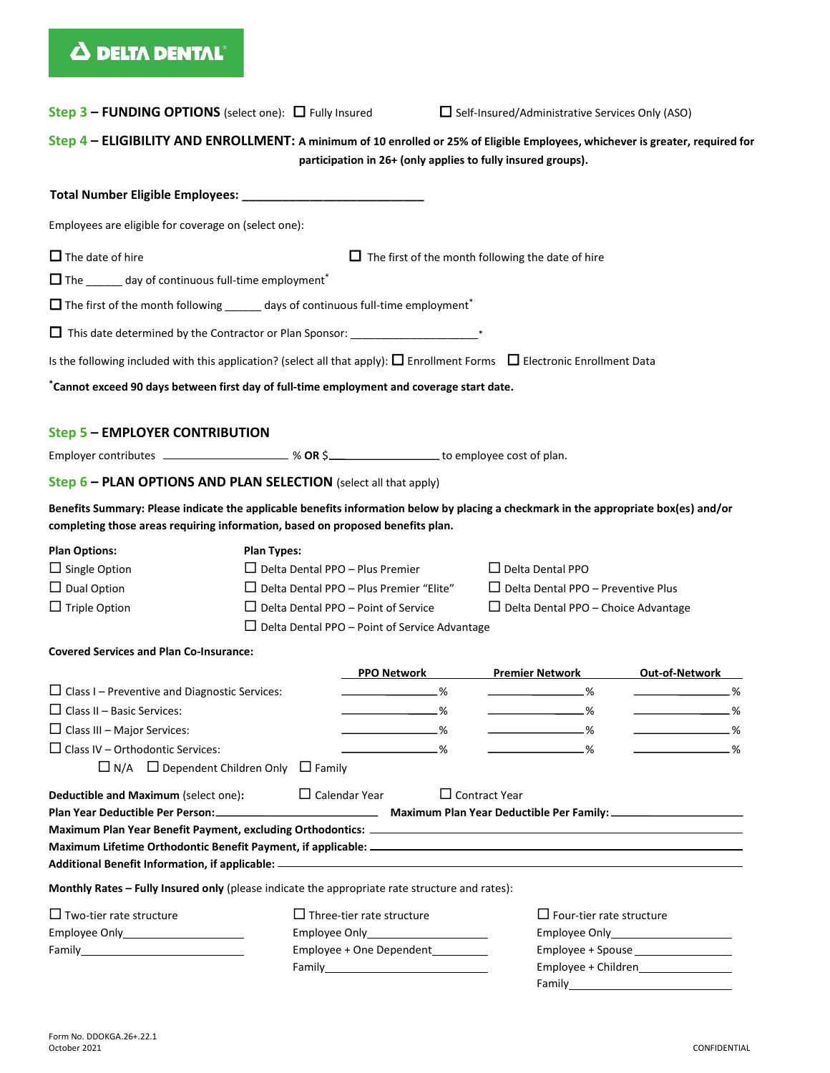# **A DELTA DENTAL**

| <b>Step 3 – FUNDING OPTIONS</b> (select one): $\Box$ Fully Insured                                                                                                                                                                    |                                                                                                                                                                                                                      |                | □ Self-Insured/Administrative Services Only (ASO)                                                                  |                                                                                    |
|---------------------------------------------------------------------------------------------------------------------------------------------------------------------------------------------------------------------------------------|----------------------------------------------------------------------------------------------------------------------------------------------------------------------------------------------------------------------|----------------|--------------------------------------------------------------------------------------------------------------------|------------------------------------------------------------------------------------|
| Step 4 - ELIGIBILITY AND ENROLLMENT: A minimum of 10 enrolled or 25% of Eligible Employees, whichever is greater, required for                                                                                                        |                                                                                                                                                                                                                      |                | participation in 26+ (only applies to fully insured groups).                                                       |                                                                                    |
|                                                                                                                                                                                                                                       |                                                                                                                                                                                                                      |                |                                                                                                                    |                                                                                    |
| Employees are eligible for coverage on (select one):                                                                                                                                                                                  |                                                                                                                                                                                                                      |                |                                                                                                                    |                                                                                    |
| $\Box$ The date of hire<br>$\Box$ The _______ day of continuous full-time employment <sup>*</sup><br>$\Box$ The first of the month following ______ days of continuous full-time employment*                                          |                                                                                                                                                                                                                      |                | $\Box$ The first of the month following the date of hire                                                           |                                                                                    |
|                                                                                                                                                                                                                                       |                                                                                                                                                                                                                      |                |                                                                                                                    |                                                                                    |
| Is the following included with this application? (select all that apply): $\Box$ Enrollment Forms $\Box$ Electronic Enrollment Data                                                                                                   |                                                                                                                                                                                                                      |                |                                                                                                                    |                                                                                    |
|                                                                                                                                                                                                                                       |                                                                                                                                                                                                                      |                |                                                                                                                    |                                                                                    |
| *Cannot exceed 90 days between first day of full-time employment and coverage start date.                                                                                                                                             |                                                                                                                                                                                                                      |                |                                                                                                                    |                                                                                    |
| <b>Step 5 - EMPLOYER CONTRIBUTION</b>                                                                                                                                                                                                 |                                                                                                                                                                                                                      |                |                                                                                                                    |                                                                                    |
| Employer contributes ___________________ % OR \$_____________________ to employee cost of plan.                                                                                                                                       |                                                                                                                                                                                                                      |                |                                                                                                                    |                                                                                    |
| Step 6 - PLAN OPTIONS AND PLAN SELECTION (select all that apply)                                                                                                                                                                      |                                                                                                                                                                                                                      |                |                                                                                                                    |                                                                                    |
| Benefits Summary: Please indicate the applicable benefits information below by placing a checkmark in the appropriate box(es) and/or<br>completing those areas requiring information, based on proposed benefits plan.                |                                                                                                                                                                                                                      |                |                                                                                                                    |                                                                                    |
| <b>Plan Options:</b><br>$\Box$ Single Option<br>$\Box$ Dual Option<br>$\Box$ Triple Option                                                                                                                                            | <b>Plan Types:</b><br>$\Box$ Delta Dental PPO - Plus Premier<br>$\Box$ Delta Dental PPO - Plus Premier "Elite"<br>$\Box$ Delta Dental PPO – Point of Service<br>$\Box$ Delta Dental PPO – Point of Service Advantage |                | $\Box$ Delta Dental PPO<br>$\Box$ Delta Dental PPO – Preventive Plus<br>$\Box$ Delta Dental PPO – Choice Advantage |                                                                                    |
| <b>Covered Services and Plan Co-Insurance:</b>                                                                                                                                                                                        |                                                                                                                                                                                                                      |                |                                                                                                                    |                                                                                    |
|                                                                                                                                                                                                                                       | <b>PPO Network</b>                                                                                                                                                                                                   |                | <b>Premier Network</b>                                                                                             | Out-of-Network                                                                     |
| $\Box$ Class I – Preventive and Diagnostic Services:<br>$\Box$ Class II – Basic Services:<br>$\Box$ Class III – Major Services:<br>$\Box$ Class IV - Orthodontic Services:<br>$\Box$ N/A $\Box$ Dependent Children Only $\Box$ Family |                                                                                                                                                                                                                      | .%<br>-%<br>-% | $\sim$ $\sim$ $\sim$<br>-%<br>$\sim$ $\sim$ $\sim$                                                                 | %<br>the control of the control of the<br>.%<br>$\sim$ $\sim$ $\sim$ $\sim$ $\sim$ |
| Deductible and Maximum (select one):                                                                                                                                                                                                  | $\Box$ Calendar Year                                                                                                                                                                                                 |                | $\Box$ Contract Year                                                                                               |                                                                                    |
| Monthly Rates - Fully Insured only (please indicate the appropriate rate structure and rates):                                                                                                                                        |                                                                                                                                                                                                                      |                |                                                                                                                    |                                                                                    |
| $\Box$ Two-tier rate structure                                                                                                                                                                                                        | $\Box$ Three-tier rate structure<br>Employee + One Dependent<br>Family <b>Example 2018</b>                                                                                                                           |                | $\Box$ Four-tier rate structure                                                                                    | Employee + Spouse __________________                                               |

Family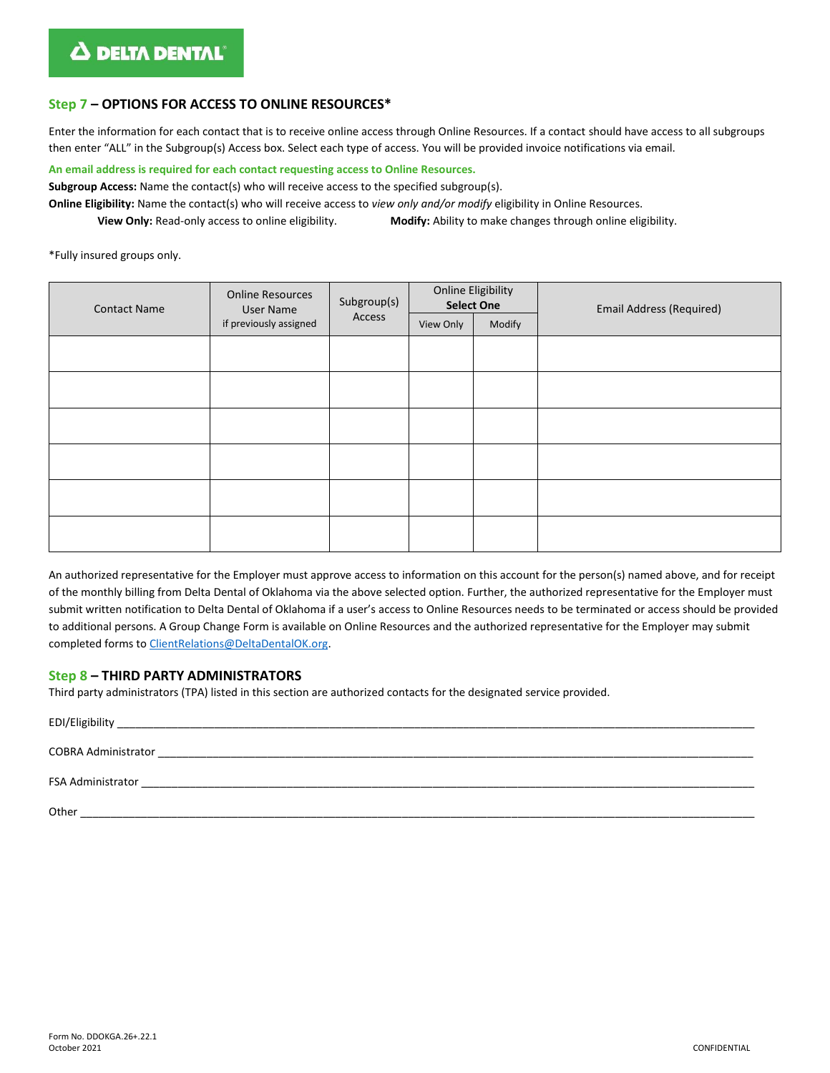# **Step 7 – OPTIONS FOR ACCESS TO ONLINE RESOURCES\***

Enter the information for each contact that is to receive online access through Online Resources. If a contact should have access to all subgroups then enter "ALL" in the Subgroup(s) Access box. Select each type of access. You will be provided invoice notifications via email.

**An email address is required for each contact requesting access to Online Resources.**

**Subgroup Access:** Name the contact(s) who will receive access to the specified subgroup(s).

**Online Eligibility:** Name the contact(s) who will receive access to *view only and/or modify* eligibility in Online Resources.

**View Only:** Read-only access to online eligibility. **Modify:** Ability to make changes through online eligibility.

\*Fully insured groups only.

| <b>Contact Name</b> | <b>Online Resources</b><br>User Name | Subgroup(s)<br>Access | <b>Online Eligibility</b><br><b>Select One</b> |        | <b>Email Address (Required)</b> |
|---------------------|--------------------------------------|-----------------------|------------------------------------------------|--------|---------------------------------|
|                     | if previously assigned               |                       | View Only                                      | Modify |                                 |
|                     |                                      |                       |                                                |        |                                 |
|                     |                                      |                       |                                                |        |                                 |
|                     |                                      |                       |                                                |        |                                 |
|                     |                                      |                       |                                                |        |                                 |
|                     |                                      |                       |                                                |        |                                 |
|                     |                                      |                       |                                                |        |                                 |

An authorized representative for the Employer must approve access to information on this account for the person(s) named above, and for receipt of the monthly billing from Delta Dental of Oklahoma via the above selected option. Further, the authorized representative for the Employer must submit written notification to Delta Dental of Oklahoma if a user's access to Online Resources needs to be terminated or access should be provided to additional persons. A Group Change Form is available on Online Resources and the authorized representative for the Employer may submit completed forms t[o ClientRelations@DeltaDentalOK.org.](mailto:ClientRelations@DeltaDentalOK.org)

#### **Step 8 – THIRD PARTY ADMINISTRATORS**

Third party administrators (TPA) listed in this section are authorized contacts for the designated service provided.

| EDI/Eligibility _____      |
|----------------------------|
| <b>COBRA Administrator</b> |
| FSA Administrator          |
| Other                      |